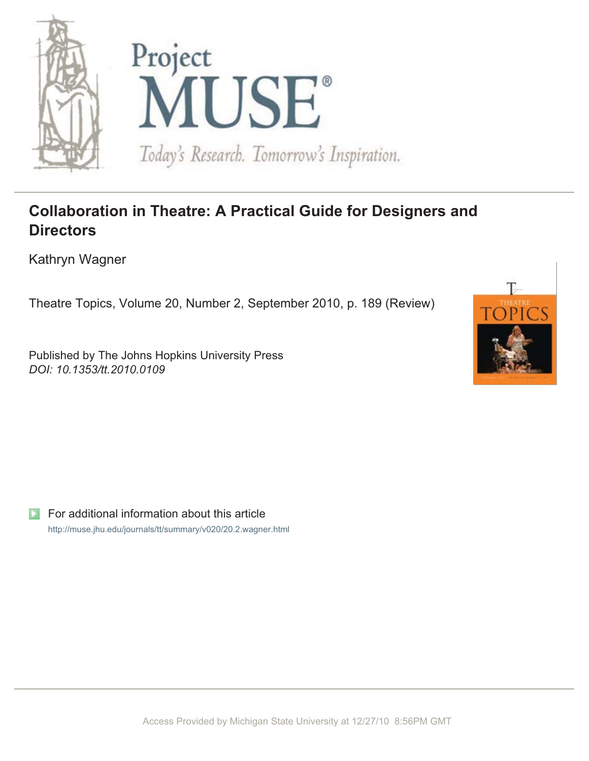

## **Collaboration in Theatre: A Practical Guide for Designers and Directors**

Kathryn Wagner

Theatre Topics, Volume 20, Number 2, September 2010, p. 189 (Review)

Published by The Johns Hopkins University Press *DOI: 10.1353/tt.2010.0109*



For additional information about this article http://muse.jhu.edu/journals/tt/summary/v020/20.2.wagner.html